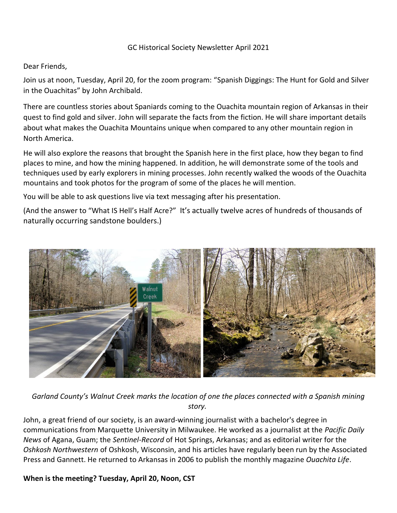## GC Historical Society Newsletter April 2021

## Dear Friends,

Join us at noon, Tuesday, April 20, for the zoom program: "Spanish Diggings: The Hunt for Gold and Silver in the Ouachitas" by John Archibald.

There are countless stories about Spaniards coming to the Ouachita mountain region of Arkansas in their quest to find gold and silver. John will separate the facts from the fiction. He will share important details about what makes the Ouachita Mountains unique when compared to any other mountain region in North America.

He will also explore the reasons that brought the Spanish here in the first place, how they began to find places to mine, and how the mining happened. In addition, he will demonstrate some of the tools and techniques used by early explorers in mining processes. John recently walked the woods of the Ouachita mountains and took photos for the program of some of the places he will mention.

You will be able to ask questions live via text messaging after his presentation.

(And the answer to "What IS Hell's Half Acre?" It's actually twelve acres of hundreds of thousands of naturally occurring sandstone boulders.)



*Garland County's Walnut Creek marks the location of one the places connected with a Spanish mining story.*

John, a great friend of our society, is an award-winning journalist with a bachelor's degree in communications from Marquette University in Milwaukee. He worked as a journalist at the *Pacific Daily News* of Agana, Guam; the *Sentinel-Record* of Hot Springs, Arkansas; and as editorial writer for the *Oshkosh Northwestern* of Oshkosh, Wisconsin, and his articles have regularly been run by the Associated Press and Gannett. He returned to Arkansas in 2006 to publish the monthly magazine *Ouachita Life*.

## **When is the meeting? Tuesday, April 20, Noon, CST**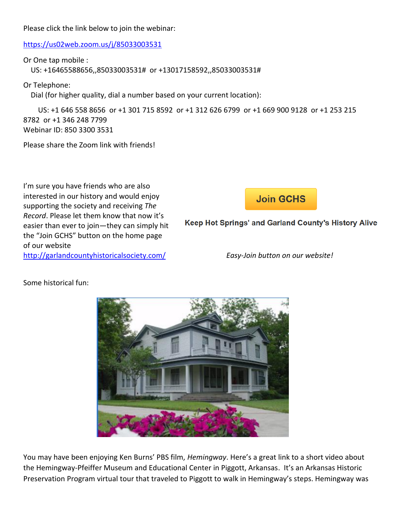Please click the link below to join the webinar:

<https://us02web.zoom.us/j/85033003531>

Or One tap mobile :

US: +16465588656,,85033003531# or +13017158592,,85033003531#

Or Telephone:

Dial (for higher quality, dial a number based on your current location):

 US: +1 646 558 8656 or +1 301 715 8592 or +1 312 626 6799 or +1 669 900 9128 or +1 253 215 8782 or +1 346 248 7799 Webinar ID: 850 3300 3531

Please share the Zoom link with friends!

I'm sure you have friends who are also interested in our history and would enjoy supporting the society and receiving *The Record*. Please let them know that now it's easier than ever to join—they can simply hit the "Join GCHS" button on the home page of our website <http://garlandcountyhistoricalsociety.com/>*Easy-Join button on our website!*

**Join GCHS** 

Keep Hot Springs' and Garland County's History Alive



Some historical fun:

You may have been enjoying Ken Burns' PBS film, *Hemingway*. Here's a great link to a short video about the Hemingway-Pfeiffer Museum and Educational Center in Piggott, Arkansas. It's an Arkansas Historic Preservation Program virtual tour that traveled to Piggott to walk in Hemingway's steps. Hemingway was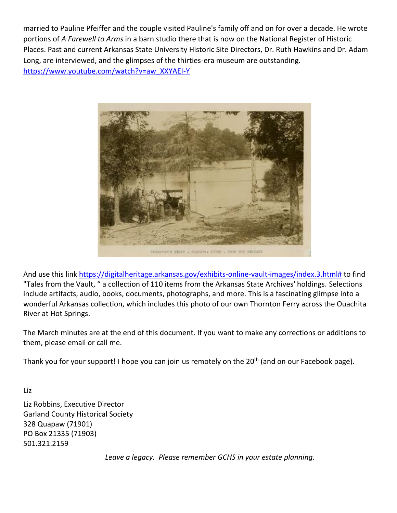married to Pauline Pfeiffer and the couple visited Pauline's family off and on for over a decade. He wrote portions of *A Farewell to Arms* in a barn studio there that is now on the National Register of Historic Places. Past and current Arkansas State University Historic Site Directors, Dr. Ruth Hawkins and Dr. Adam Long, are interviewed, and the glimpses of the thirties-era museum are outstanding. [https://www.youtube.com/watch?v=aw\\_XXYAEI-Y](https://www.youtube.com/watch?v=aw_XXYAEI-Y)



And use this link [https://digitalheritage.arkansas.gov/exhibits-online-vault-images/index.3.html#](https://digitalheritage.arkansas.gov/exhibits-online-vault-images/index.3.html) to find "Tales from the Vault, " a collection of 110 items from the Arkansas State Archives' holdings. Selections include artifacts, audio, books, documents, photographs, and more. This is a fascinating glimpse into a wonderful Arkansas collection, which includes this photo of our own Thornton Ferry across the Ouachita River at Hot Springs.

The March minutes are at the end of this document. If you want to make any corrections or additions to them, please email or call me.

Thank you for your support! I hope you can join us remotely on the 20<sup>th</sup> (and on our Facebook page).

Liz Robbins, Executive Director Garland County Historical Society 328 Quapaw (71901) PO Box 21335 (71903) 501.321.2159

Liz

*Leave a legacy. Please remember GCHS in your estate planning.*